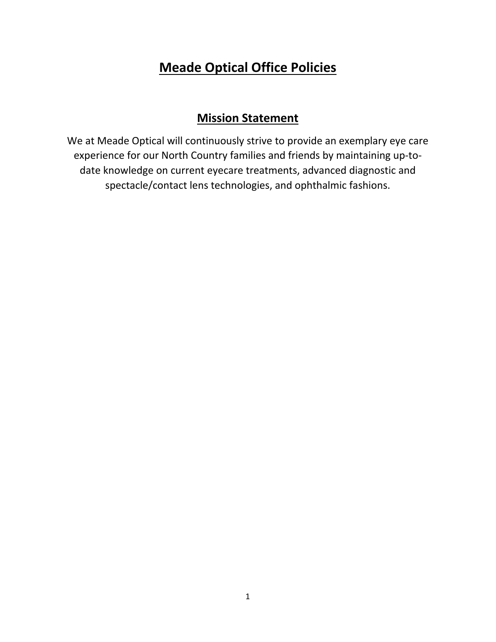# **Meade Optical Office Policies**

## **Mission Statement**

We at Meade Optical will continuously strive to provide an exemplary eye care experience for our North Country families and friends by maintaining up-todate knowledge on current eyecare treatments, advanced diagnostic and spectacle/contact lens technologies, and ophthalmic fashions.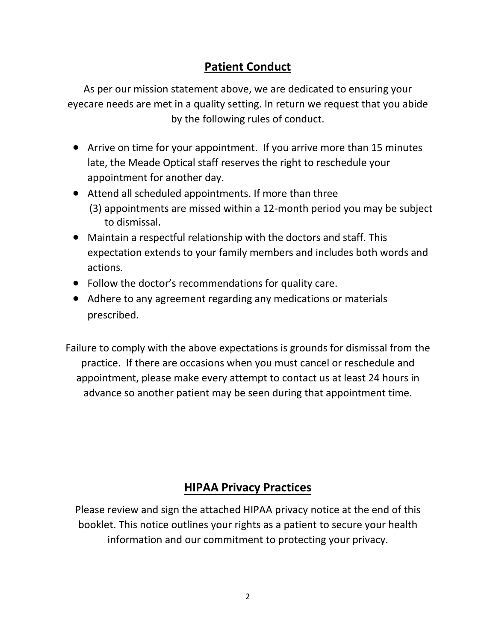# **Patient Conduct**

As per our mission statement above, we are dedicated to ensuring your eyecare needs are met in a quality setting. In return we request that you abide by the following rules of conduct.

- Arrive on time for your appointment. If you arrive more than 15 minutes late, the Meade Optical staff reserves the right to reschedule your appointment for another day.
- Attend all scheduled appointments. If more than three (3) appointments are missed within a 12-month period you may be subject to dismissal.
- Maintain a respectful relationship with the doctors and staff. This expectation extends to your family members and includes both words and actions.
- Follow the doctor's recommendations for quality care.
- Adhere to any agreement regarding any medications or materials prescribed.

Failure to comply with the above expectations is grounds for dismissal from the practice. If there are occasions when you must cancel or reschedule and appointment, please make every attempt to contact us at least 24 hours in advance so another patient may be seen during that appointment time.

# **HIPAA Privacy Practices**

Please review and sign the attached HIPAA privacy notice at the end of this booklet. This notice outlines your rights as a patient to secure your health information and our commitment to protecting your privacy.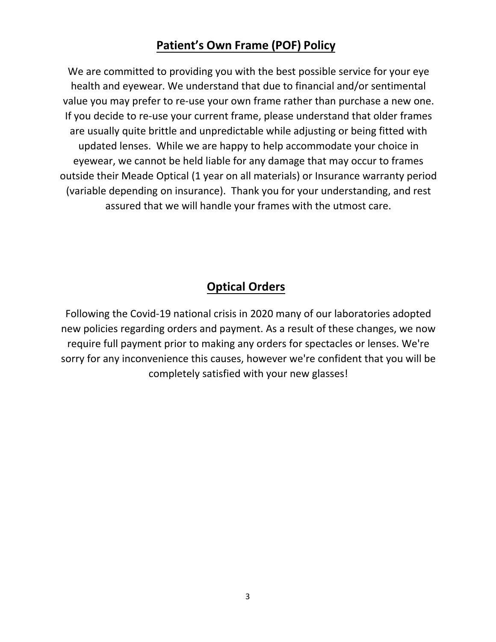# **Patient's Own Frame (POF) Policy**

We are committed to providing you with the best possible service for your eye health and eyewear. We understand that due to financial and/or sentimental value you may prefer to re-use your own frame rather than purchase a new one. If you decide to re-use your current frame, please understand that older frames are usually quite brittle and unpredictable while adjusting or being fitted with updated lenses. While we are happy to help accommodate your choice in eyewear, we cannot be held liable for any damage that may occur to frames outside their Meade Optical (1 year on all materials) or Insurance warranty period (variable depending on insurance). Thank you for your understanding, and rest assured that we will handle your frames with the utmost care.

# **Optical Orders**

Following the Covid-19 national crisis in 2020 many of our laboratories adopted new policies regarding orders and payment. As a result of these changes, we now require full payment prior to making any orders for spectacles or lenses. We're sorry for any inconvenience this causes, however we're confident that you will be completely satisfied with your new glasses!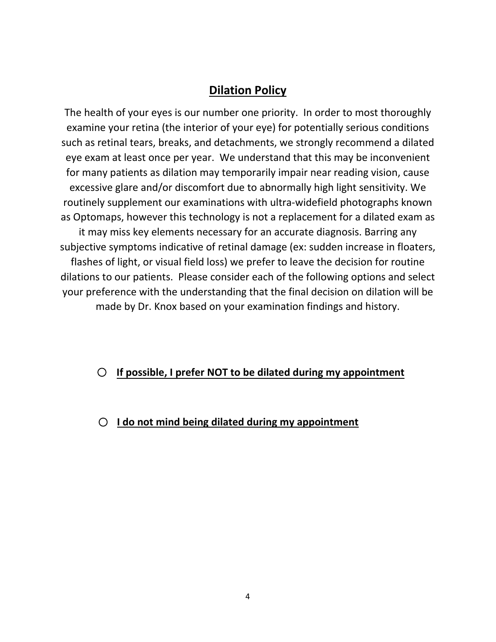## **Dilation Policy**

The health of your eyes is our number one priority. In order to most thoroughly examine your retina (the interior of your eye) for potentially serious conditions such as retinal tears, breaks, and detachments, we strongly recommend a dilated eye exam at least once per year. We understand that this may be inconvenient for many patients as dilation may temporarily impair near reading vision, cause excessive glare and/or discomfort due to abnormally high light sensitivity. We routinely supplement our examinations with ultra-widefield photographs known as Optomaps, however this technology is not a replacement for a dilated exam as it may miss key elements necessary for an accurate diagnosis. Barring any subjective symptoms indicative of retinal damage (ex: sudden increase in floaters, flashes of light, or visual field loss) we prefer to leave the decision for routine dilations to our patients. Please consider each of the following options and select your preference with the understanding that the final decision on dilation will be made by Dr. Knox based on your examination findings and history.

#### **If possible, I prefer NOT to be dilated during my appointment**

#### **I do not mind being dilated during my appointment**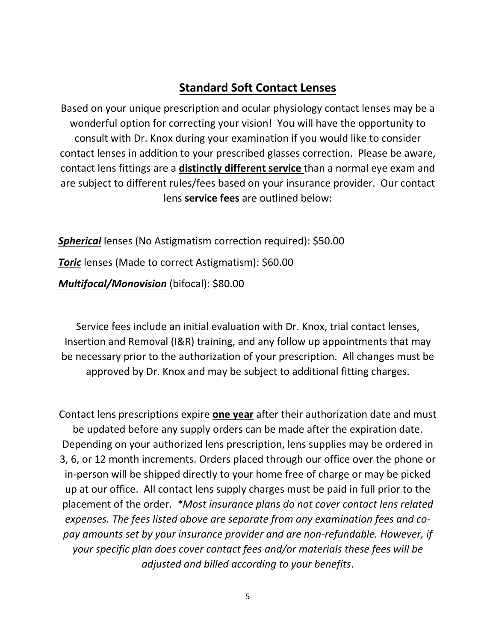# **Standard Soft Contact Lenses**

Based on your unique prescription and ocular physiology contact lenses may be a wonderful option for correcting your vision! You will have the opportunity to consult with Dr. Knox during your examination if you would like to consider contact lenses in addition to your prescribed glasses correction. Please be aware, contact lens fittings are a **distinctly different service** than a normal eye exam and are subject to different rules/fees based on your insurance provider. Our contact lens **service fees** are outlined below:

*Spherical* lenses (No Astigmatism correction required): \$50.00 *Toric* lenses (Made to correct Astigmatism): \$60.00 *Multifocal/Monovision* (bifocal): \$80.00

Service fees include an initial evaluation with Dr. Knox, trial contact lenses, Insertion and Removal (I&R) training, and any follow up appointments that may be necessary prior to the authorization of your prescription. All changes must be approved by Dr. Knox and may be subject to additional fitting charges.

Contact lens prescriptions expire **one year** after their authorization date and must be updated before any supply orders can be made after the expiration date. Depending on your authorized lens prescription, lens supplies may be ordered in 3, 6, or 12 month increments. Orders placed through our office over the phone or in-person will be shipped directly to your home free of charge or may be picked up at our office. All contact lens supply charges must be paid in full prior to the placement of the order. *\*Most insurance plans do not cover contact lens related expenses. The fees listed above are separate from any examination fees and copay amounts set by your insurance provider and are non-refundable. However, if your specific plan does cover contact fees and/or materials these fees will be adjusted and billed according to your benefits*.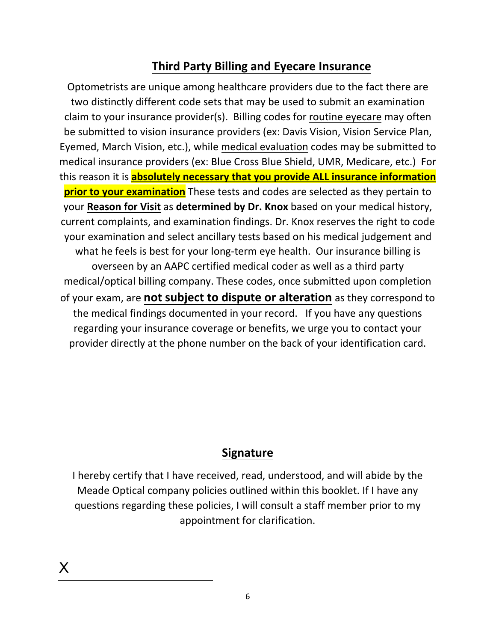# **Third Party Billing and Eyecare Insurance**

Optometrists are unique among healthcare providers due to the fact there are two distinctly different code sets that may be used to submit an examination claim to your insurance provider(s). Billing codes for routine eyecare may often be submitted to vision insurance providers (ex: Davis Vision, Vision Service Plan, Eyemed, March Vision, etc.), while medical evaluation codes may be submitted to medical insurance providers (ex: Blue Cross Blue Shield, UMR, Medicare, etc.) For this reason it is **absolutely necessary that you provide ALL insurance information prior to your examination** These tests and codes are selected as they pertain to your **Reason for Visit** as **determined by Dr. Knox** based on your medical history, current complaints, and examination findings. Dr. Knox reserves the right to code your examination and select ancillary tests based on his medical judgement and what he feels is best for your long-term eye health. Our insurance billing is overseen by an AAPC certified medical coder as well as a third party medical/optical billing company. These codes, once submitted upon completion of your exam, are **not subject to dispute or alteration** as they correspond to the medical findings documented in your record. If you have any questions regarding your insurance coverage or benefits, we urge you to contact your provider directly at the phone number on the back of your identification card.

## **Signature**

I hereby certify that I have received, read, understood, and will abide by the Meade Optical company policies outlined within this booklet. If I have any questions regarding these policies, I will consult a staff member prior to my appointment for clarification.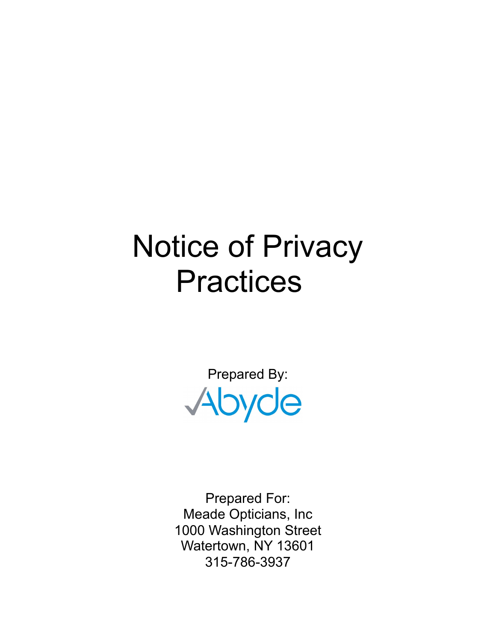# Notice of Privacy **Practices**

Prepared By: Abyde

Prepared For: Meade Opticians, Inc 1000 Washington Street Watertown, NY 13601 315-786-3937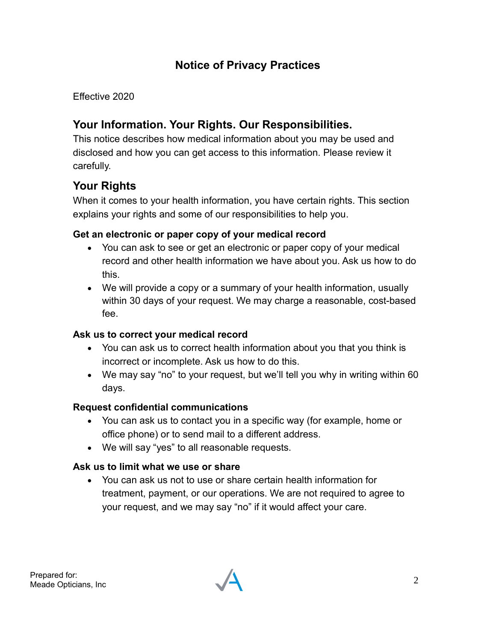# **Notice of Privacy Practices**

Effective 2020

# **Your Information. Your Rights. Our Responsibilities.**

This notice describes how medical information about you may be used and disclosed and how you can get access to this information. Please review it carefully.

# **Your Rights**

When it comes to your health information, you have certain rights. This section explains your rights and some of our responsibilities to help you.

#### **Get an electronic or paper copy of your medical record**

- You can ask to see or get an electronic or paper copy of your medical record and other health information we have about you. Ask us how to do this.
- We will provide a copy or a summary of your health information, usually within 30 days of your request. We may charge a reasonable, cost-based fee.

#### **Ask us to correct your medical record**

- You can ask us to correct health information about you that you think is incorrect or incomplete. Ask us how to do this.
- We may say "no" to your request, but we'll tell you why in writing within 60 days.

#### **Request confidential communications**

- You can ask us to contact you in a specific way (for example, home or office phone) or to send mail to a different address.
- We will say "yes" to all reasonable requests.

#### **Ask us to limit what we use or share**

 You can ask us not to use or share certain health information for treatment, payment, or our operations. We are not required to agree to your request, and we may say "no" if it would affect your care.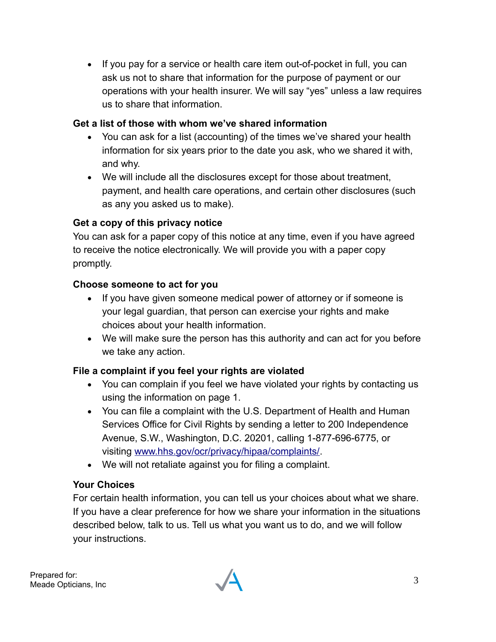• If you pay for a service or health care item out-of-pocket in full, you can ask us not to share that information for the purpose of payment or our operations with your health insurer. We will say "yes" unless a law requires us to share that information.

#### **Get a list of those with whom we've shared information**

- You can ask for a list (accounting) of the times we've shared your health information for six years prior to the date you ask, who we shared it with, and why.
- We will include all the disclosures except for those about treatment, payment, and health care operations, and certain other disclosures (such as any you asked us to make).

#### **Get a copy of this privacy notice**

You can ask for a paper copy of this notice at any time, even if you have agreed to receive the notice electronically. We will provide you with a paper copy promptly.

#### **Choose someone to act for you**

- If you have given someone medical power of attorney or if someone is your legal guardian, that person can exercise your rights and make choices about your health information.
- We will make sure the person has this authority and can act for you before we take any action.

#### **File a complaint if you feel your rights are violated**

- You can complain if you feel we have violated your rights by contacting us using the information on page 1.
- You can file a complaint with the U.S. Department of Health and Human Services Office for Civil Rights by sending a letter to 200 Independence Avenue, S.W., Washington, D.C. 20201, calling 1-877-696-6775, or visiting [www.hhs.gov/ocr/privacy/hipaa/complaints/.](http://www.hhs.gov/ocr/privacy/hipaa/complaints/)
- We will not retaliate against you for filing a complaint.

#### **Your Choices**

For certain health information, you can tell us your choices about what we share. If you have a clear preference for how we share your information in the situations described below, talk to us. Tell us what you want us to do, and we will follow your instructions.

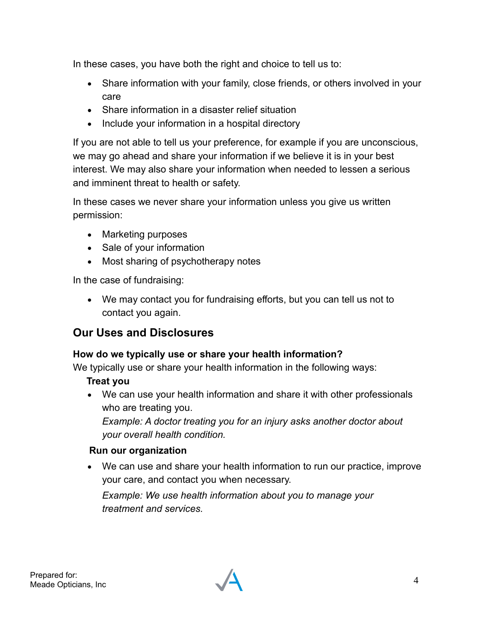In these cases, you have both the right and choice to tell us to:

- Share information with your family, close friends, or others involved in your care
- Share information in a disaster relief situation
- Include your information in a hospital directory

If you are not able to tell us your preference, for example if you are unconscious, we may go ahead and share your information if we believe it is in your best interest. We may also share your information when needed to lessen a serious and imminent threat to health or safety.

In these cases we never share your information unless you give us written permission:

- Marketing purposes
- Sale of your information
- Most sharing of psychotherapy notes

In the case of fundraising:

 We may contact you for fundraising efforts, but you can tell us not to contact you again.

## **Our Uses and Disclosures**

#### **How do we typically use or share your health information?**

We typically use or share your health information in the following ways:

#### **Treat you**

 We can use your health information and share it with other professionals who are treating you.

*Example: A doctor treating you for an injury asks another doctor about your overall health condition.*

#### **Run our organization**

 We can use and share your health information to run our practice, improve your care, and contact you when necessary.

*Example: We use health information about you to manage your treatment and services.*

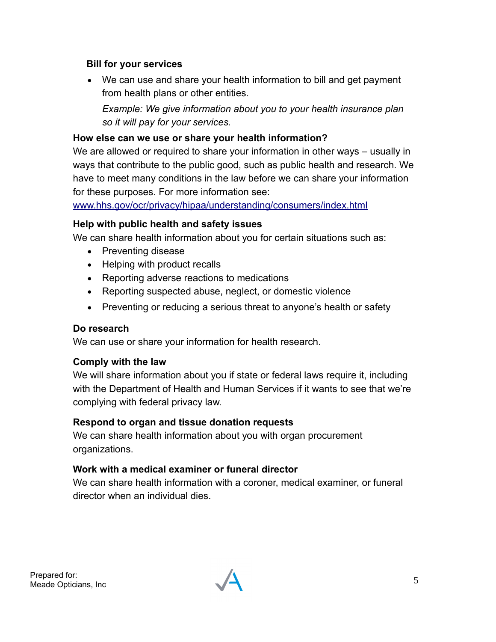#### **Bill for your services**

 We can use and share your health information to bill and get payment from health plans or other entities.

*Example: We give information about you to your health insurance plan so it will pay for your services.*

#### **How else can we use or share your health information?**

We are allowed or required to share your information in other ways – usually in ways that contribute to the public good, such as public health and research. We have to meet many conditions in the law before we can share your information for these purposes. For more information see:

[www.hhs.gov/ocr/privacy/hipaa/understanding/consumers/index.html](http://www.hhs.gov/ocr/privacy/hipaa/understanding/consumers/index.html)

#### **Help with public health and safety issues**

We can share health information about you for certain situations such as:

- Preventing disease
- Helping with product recalls
- Reporting adverse reactions to medications
- Reporting suspected abuse, neglect, or domestic violence
- Preventing or reducing a serious threat to anyone's health or safety

#### **Do research**

We can use or share your information for health research.

#### **Comply with the law**

We will share information about you if state or federal laws require it, including with the Department of Health and Human Services if it wants to see that we're complying with federal privacy law.

#### **Respond to organ and tissue donation requests**

We can share health information about you with organ procurement organizations.

#### **Work with a medical examiner or funeral director**

We can share health information with a coroner, medical examiner, or funeral director when an individual dies.